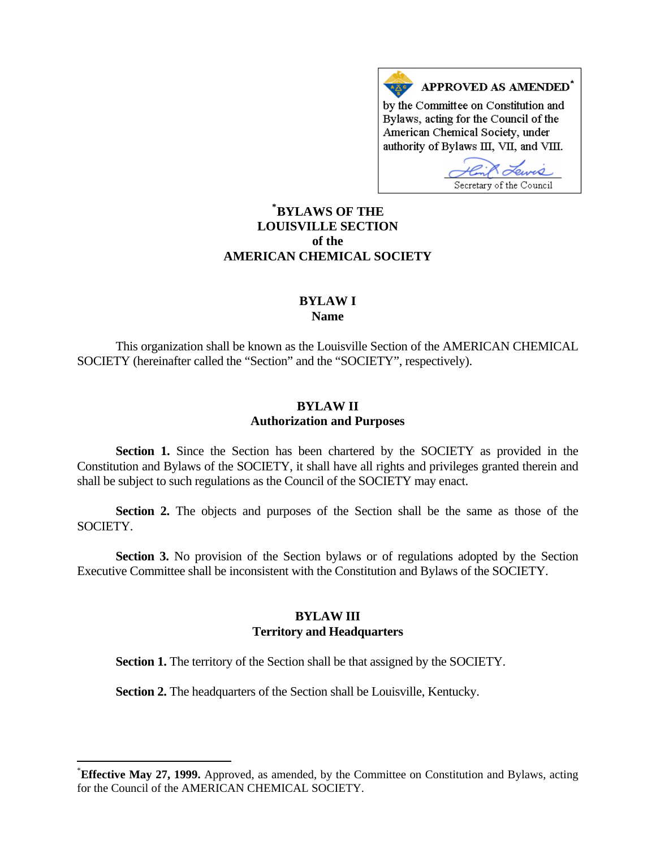

# **[\\*](#page-0-0) BYLAWS OF THE LOUISVILLE SECTION of the AMERICAN CHEMICAL SOCIETY**

#### **BYLAW I Name**

 This organization shall be known as the Louisville Section of the AMERICAN CHEMICAL SOCIETY (hereinafter called the "Section" and the "SOCIETY", respectively).

## **BYLAW II Authorization and Purposes**

 **Section 1.** Since the Section has been chartered by the SOCIETY as provided in the Constitution and Bylaws of the SOCIETY, it shall have all rights and privileges granted therein and shall be subject to such regulations as the Council of the SOCIETY may enact.

 **Section 2.** The objects and purposes of the Section shall be the same as those of the SOCIETY.

 **Section 3.** No provision of the Section bylaws or of regulations adopted by the Section Executive Committee shall be inconsistent with the Constitution and Bylaws of the SOCIETY.

## **BYLAW III Territory and Headquarters**

**Section 1.** The territory of the Section shall be that assigned by the SOCIETY.

**Section 2.** The headquarters of the Section shall be Louisville, Kentucky.

 $\overline{a}$ 

<span id="page-0-0"></span><sup>\*</sup> **Effective May 27, 1999.** Approved, as amended, by the Committee on Constitution and Bylaws, acting for the Council of the AMERICAN CHEMICAL SOCIETY.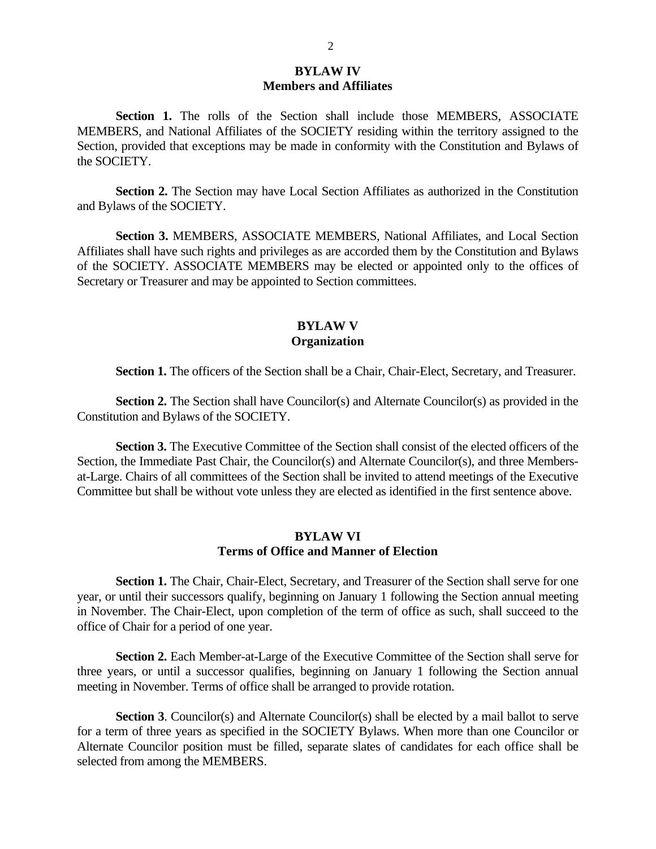## **BYLAW IV Members and Affiliates**

 **Section 1.** The rolls of the Section shall include those MEMBERS, ASSOCIATE MEMBERS, and National Affiliates of the SOCIETY residing within the territory assigned to the Section, provided that exceptions may be made in conformity with the Constitution and Bylaws of the SOCIETY.

**Section 2.** The Section may have Local Section Affiliates as authorized in the Constitution and Bylaws of the SOCIETY.

 **Section 3.** MEMBERS, ASSOCIATE MEMBERS, National Affiliates, and Local Section Affiliates shall have such rights and privileges as are accorded them by the Constitution and Bylaws of the SOCIETY. ASSOCIATE MEMBERS may be elected or appointed only to the offices of Secretary or Treasurer and may be appointed to Section committees.

## **BYLAW V Organization**

Section 1. The officers of the Section shall be a Chair, Chair-Elect, Secretary, and Treasurer.

**Section 2.** The Section shall have Councilor(s) and Alternate Councilor(s) as provided in the Constitution and Bylaws of the SOCIETY.

**Section 3.** The Executive Committee of the Section shall consist of the elected officers of the Section, the Immediate Past Chair, the Councilor(s) and Alternate Councilor(s), and three Membersat-Large. Chairs of all committees of the Section shall be invited to attend meetings of the Executive Committee but shall be without vote unless they are elected as identified in the first sentence above.

## **BYLAW VI Terms of Office and Manner of Election**

Section 1. The Chair, Chair-Elect, Secretary, and Treasurer of the Section shall serve for one year, or until their successors qualify, beginning on January 1 following the Section annual meeting in November. The Chair-Elect, upon completion of the term of office as such, shall succeed to the office of Chair for a period of one year.

 **Section 2.** Each Member-at-Large of the Executive Committee of the Section shall serve for three years, or until a successor qualifies, beginning on January 1 following the Section annual meeting in November. Terms of office shall be arranged to provide rotation.

**Section 3.** Councilor(s) and Alternate Councilor(s) shall be elected by a mail ballot to serve for a term of three years as specified in the SOCIETY Bylaws. When more than one Councilor or Alternate Councilor position must be filled, separate slates of candidates for each office shall be selected from among the MEMBERS.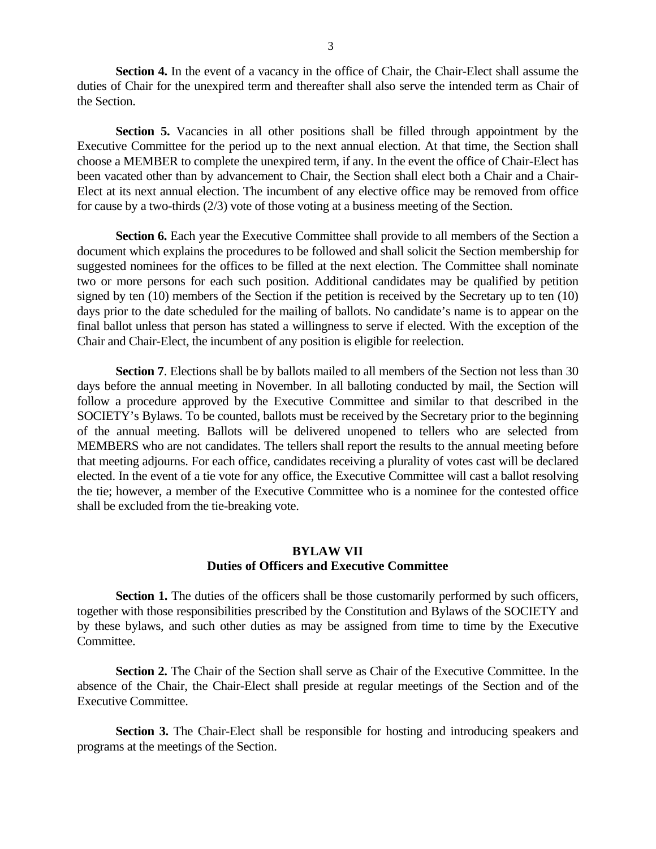**Section 4.** In the event of a vacancy in the office of Chair, the Chair-Elect shall assume the duties of Chair for the unexpired term and thereafter shall also serve the intended term as Chair of the Section.

Section 5. Vacancies in all other positions shall be filled through appointment by the Executive Committee for the period up to the next annual election. At that time, the Section shall choose a MEMBER to complete the unexpired term, if any. In the event the office of Chair-Elect has been vacated other than by advancement to Chair, the Section shall elect both a Chair and a Chair-Elect at its next annual election. The incumbent of any elective office may be removed from office for cause by a two-thirds (2/3) vote of those voting at a business meeting of the Section.

**Section 6.** Each year the Executive Committee shall provide to all members of the Section a document which explains the procedures to be followed and shall solicit the Section membership for suggested nominees for the offices to be filled at the next election. The Committee shall nominate two or more persons for each such position. Additional candidates may be qualified by petition signed by ten (10) members of the Section if the petition is received by the Secretary up to ten (10) days prior to the date scheduled for the mailing of ballots. No candidate's name is to appear on the final ballot unless that person has stated a willingness to serve if elected. With the exception of the Chair and Chair-Elect, the incumbent of any position is eligible for reelection.

 **Section 7**. Elections shall be by ballots mailed to all members of the Section not less than 30 days before the annual meeting in November. In all balloting conducted by mail, the Section will follow a procedure approved by the Executive Committee and similar to that described in the SOCIETY's Bylaws. To be counted, ballots must be received by the Secretary prior to the beginning of the annual meeting. Ballots will be delivered unopened to tellers who are selected from MEMBERS who are not candidates. The tellers shall report the results to the annual meeting before that meeting adjourns. For each office, candidates receiving a plurality of votes cast will be declared elected. In the event of a tie vote for any office, the Executive Committee will cast a ballot resolving the tie; however, a member of the Executive Committee who is a nominee for the contested office shall be excluded from the tie-breaking vote.

## **BYLAW VII Duties of Officers and Executive Committee**

**Section 1.** The duties of the officers shall be those customarily performed by such officers, together with those responsibilities prescribed by the Constitution and Bylaws of the SOCIETY and by these bylaws, and such other duties as may be assigned from time to time by the Executive Committee.

 **Section 2.** The Chair of the Section shall serve as Chair of the Executive Committee. In the absence of the Chair, the Chair-Elect shall preside at regular meetings of the Section and of the Executive Committee.

**Section 3.** The Chair-Elect shall be responsible for hosting and introducing speakers and programs at the meetings of the Section.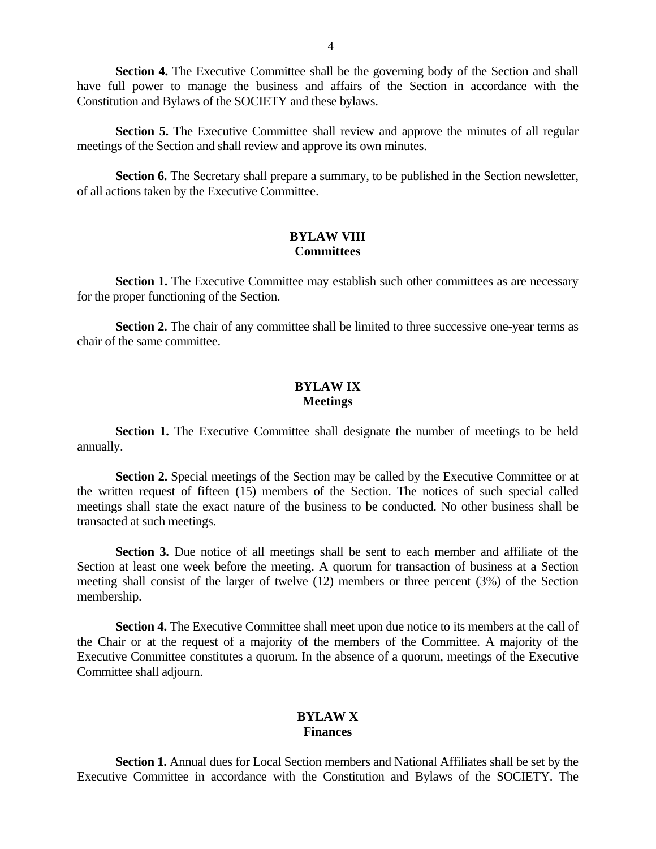**Section 4.** The Executive Committee shall be the governing body of the Section and shall have full power to manage the business and affairs of the Section in accordance with the Constitution and Bylaws of the SOCIETY and these bylaws.

**Section 5.** The Executive Committee shall review and approve the minutes of all regular meetings of the Section and shall review and approve its own minutes.

Section 6. The Secretary shall prepare a summary, to be published in the Section newsletter, of all actions taken by the Executive Committee.

#### **BYLAW VIII Committees**

**Section 1.** The Executive Committee may establish such other committees as are necessary for the proper functioning of the Section.

**Section 2.** The chair of any committee shall be limited to three successive one-year terms as chair of the same committee.

## **BYLAW IX Meetings**

**Section 1.** The Executive Committee shall designate the number of meetings to be held annually.

**Section 2.** Special meetings of the Section may be called by the Executive Committee or at the written request of fifteen (15) members of the Section. The notices of such special called meetings shall state the exact nature of the business to be conducted. No other business shall be transacted at such meetings.

 **Section 3.** Due notice of all meetings shall be sent to each member and affiliate of the Section at least one week before the meeting. A quorum for transaction of business at a Section meeting shall consist of the larger of twelve (12) members or three percent (3%) of the Section membership.

**Section 4.** The Executive Committee shall meet upon due notice to its members at the call of the Chair or at the request of a majority of the members of the Committee. A majority of the Executive Committee constitutes a quorum. In the absence of a quorum, meetings of the Executive Committee shall adjourn.

## **BYLAW X Finances**

**Section 1.** Annual dues for Local Section members and National Affiliates shall be set by the Executive Committee in accordance with the Constitution and Bylaws of the SOCIETY. The